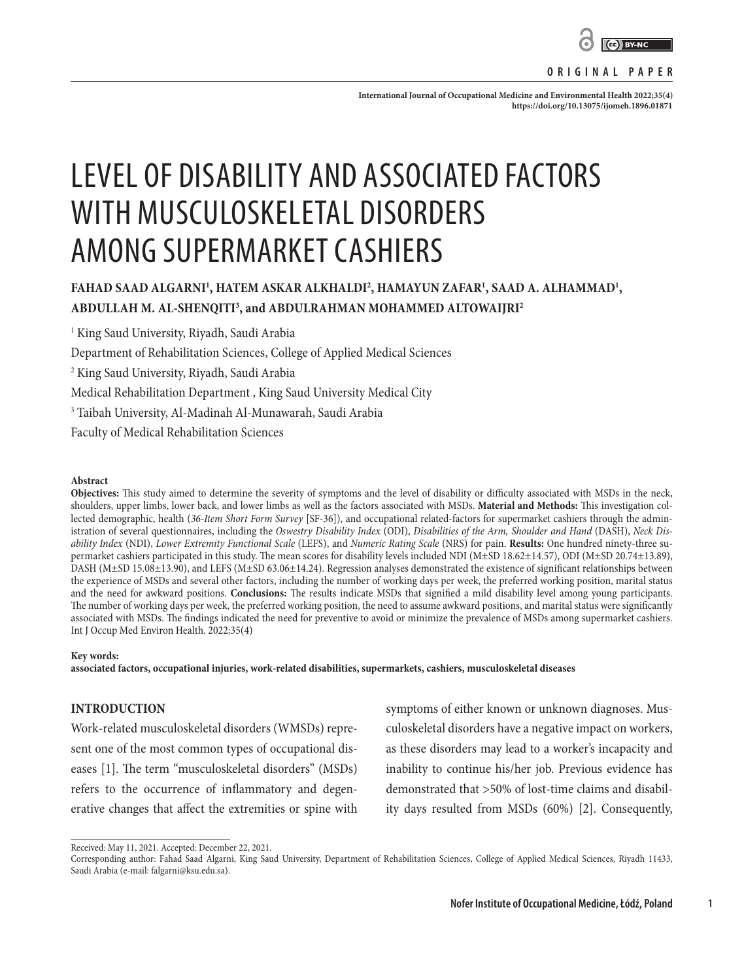

**ORIGINAL PAPER**

International Journal of Occupational Medicine and Environmental Health 2022;35(4): **<https://doi.org/10.13075/ijomeh.1896.01871>**

# LEVEL OF DISABILITY AND ASSOCIATED FACTORS WITH MUSCULOSKELETAL DISORDERS AMONG SUPERMARKET CASHIERS

# FAHAD SAAD ALGARNI<sup>1</sup>, HATEM ASKAR ALKHALDI<sup>2</sup>, HAMAYUN ZAFAR<sup>1</sup>, SAAD A. ALHAMMAD<sup>1</sup>, **ABDULLAH M. AL-SHENQITI3 , and ABDULRAHMAN MOHAMMED ALTOWAIJRI2**

1 King Saud University, Riyadh, Saudi Arabia Department of Rehabilitation Sciences, College of Applied Medical Sciences 2 King Saud University, Riyadh, Saudi Arabia Medical Rehabilitation Department , King Saud University Medical City 3 Taibah University, Al-Madinah Al-Munawarah, Saudi Arabia Faculty of Medical Rehabilitation Sciences

#### **Abstract**

**Objectives:** This study aimed to determine the severity of symptoms and the level of disability or difficulty associated with MSDs in the neck, shoulders, upper limbs, lower back, and lower limbs as well as the factors associated with MSDs. **Material and Methods:** This investigation collected demographic, health (*36-Item Short Form Survey* [SF-36]), and occupational related-factors for supermarket cashiers through the administration of several questionnaires, including the *Oswestry Disability Index* (ODI), *Disabilities of the Arm, Shoulder and Hand* (DASH), *Neck Disability Index* (NDI), *Lower Extremity Functional Scale* (LEFS), and *Numeric Rating Scale* (NRS) for pain. **Results:** One hundred ninety-three supermarket cashiers participated in this study. The mean scores for disability levels included NDI (M±SD 18.62±14.57), ODI (M±SD 20.74±13.89), DASH (M±SD 15.08±13.90), and LEFS (M±SD 63.06±14.24). Regression analyses demonstrated the existence of significant relationships between the experience of MSDs and several other factors, including the number of working days per week, the preferred working position, marital status and the need for awkward positions. **Conclusions:** The results indicate MSDs that signified a mild disability level among young participants. The number of working days per week, the preferred working position, the need to assume awkward positions, and marital status were significantly associated with MSDs. The findings indicated the need for preventive to avoid or minimize the prevalence of MSDs among supermarket cashiers. Int J Occup Med Environ Health. 2022;35(4)

#### **Key words:**

**associated factors, occupational injuries, work-related disabilities, supermarkets, cashiers, musculoskeletal diseases**

#### **INTRODUCTION**

Work-related musculoskeletal disorders (WMSDs) represent one of the most common types of occupational diseases [1]. The term "musculoskeletal disorders" (MSDs) refers to the occurrence of inflammatory and degenerative changes that affect the extremities or spine with

symptoms of either known or unknown diagnoses. Musculoskeletal disorders have a negative impact on workers, as these disorders may lead to a worker's incapacity and inability to continue his/her job. Previous evidence has demonstrated that >50% of lost-time claims and disability days resulted from MSDs (60%) [2]. Consequently,

Received: May 11, 2021. Accepted: December 22, 2021.

**1**

Corresponding author: Fahad Saad Algarni, King Saud University, Department of Rehabilitation Sciences, College of Applied Medical Sciences, Riyadh 11433, Saudi Arabia (e-mail: falgarni@ksu.edu.sa).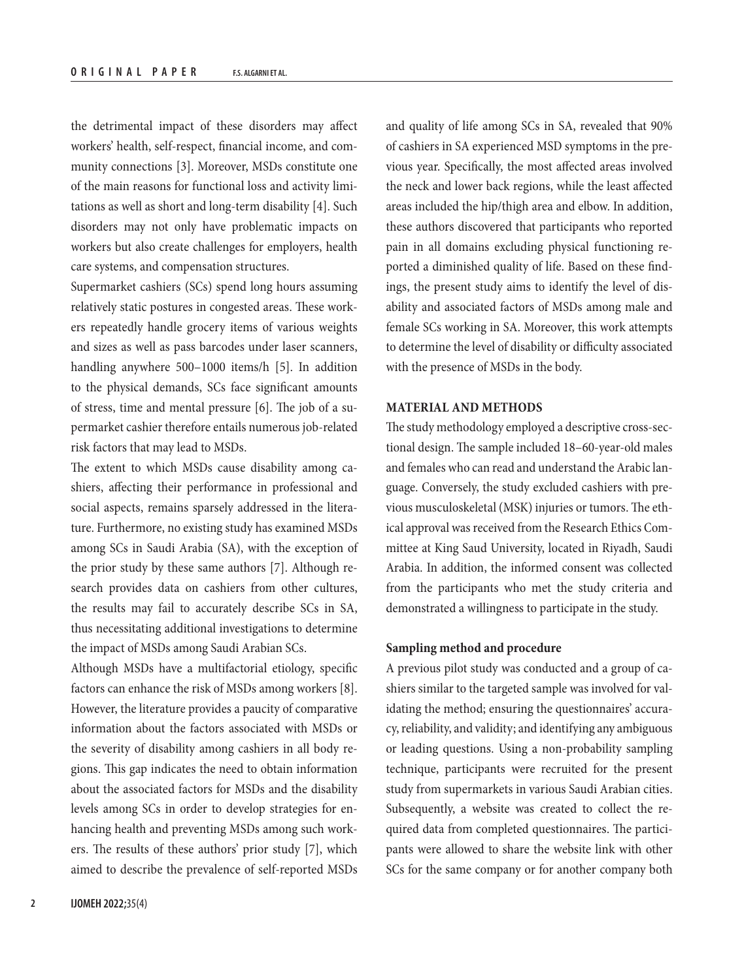the detrimental impact of these disorders may affect workers' health, self-respect, financial income, and community connections [3]. Moreover, MSDs constitute one of the main reasons for functional loss and activity limitations as well as short and long-term disability [4]. Such disorders may not only have problematic impacts on workers but also create challenges for employers, health care systems, and compensation structures.

Supermarket cashiers (SCs) spend long hours assuming relatively static postures in congested areas. These workers repeatedly handle grocery items of various weights and sizes as well as pass barcodes under laser scanners, handling anywhere 500–1000 items/h [5]. In addition to the physical demands, SCs face significant amounts of stress, time and mental pressure [6]. The job of a supermarket cashier therefore entails numerous job-related risk factors that may lead to MSDs.

The extent to which MSDs cause disability among cashiers, affecting their performance in professional and social aspects, remains sparsely addressed in the literature. Furthermore, no existing study has examined MSDs among SCs in Saudi Arabia (SA), with the exception of the prior study by these same authors [7]. Although research provides data on cashiers from other cultures, the results may fail to accurately describe SCs in SA, thus necessitating additional investigations to determine the impact of MSDs among Saudi Arabian SCs.

Although MSDs have a multifactorial etiology, specific factors can enhance the risk of MSDs among workers [8]. However, the literature provides a paucity of comparative information about the factors associated with MSDs or the severity of disability among cashiers in all body regions. This gap indicates the need to obtain information about the associated factors for MSDs and the disability levels among SCs in order to develop strategies for enhancing health and preventing MSDs among such workers. The results of these authors' prior study [7], which aimed to describe the prevalence of self-reported MSDs and quality of life among SCs in SA, revealed that 90% of cashiers in SA experienced MSD symptoms in the previous year. Specifically, the most affected areas involved the neck and lower back regions, while the least affected areas included the hip/thigh area and elbow. In addition, these authors discovered that participants who reported pain in all domains excluding physical functioning reported a diminished quality of life. Based on these findings, the present study aims to identify the level of disability and associated factors of MSDs among male and female SCs working in SA. Moreover, this work attempts to determine the level of disability or difficulty associated with the presence of MSDs in the body.

# **MATERIAL AND METHODS**

The study methodology employed a descriptive cross-sectional design. The sample included 18–60-year-old males and females who can read and understand the Arabic language. Conversely, the study excluded cashiers with previous musculoskeletal (MSK) injuries or tumors. The ethical approval was received from the Research Ethics Committee at King Saud University, located in Riyadh, Saudi Arabia. In addition, the informed consent was collected from the participants who met the study criteria and demonstrated a willingness to participate in the study.

### **Sampling method and procedure**

A previous pilot study was conducted and a group of cashiers similar to the targeted sample was involved for validating the method; ensuring the questionnaires' accuracy, reliability, and validity; and identifying any ambiguous or leading questions. Using a non-probability sampling technique, participants were recruited for the present study from supermarkets in various Saudi Arabian cities. Subsequently, a website was created to collect the required data from completed questionnaires. The participants were allowed to share the website link with other SCs for the same company or for another company both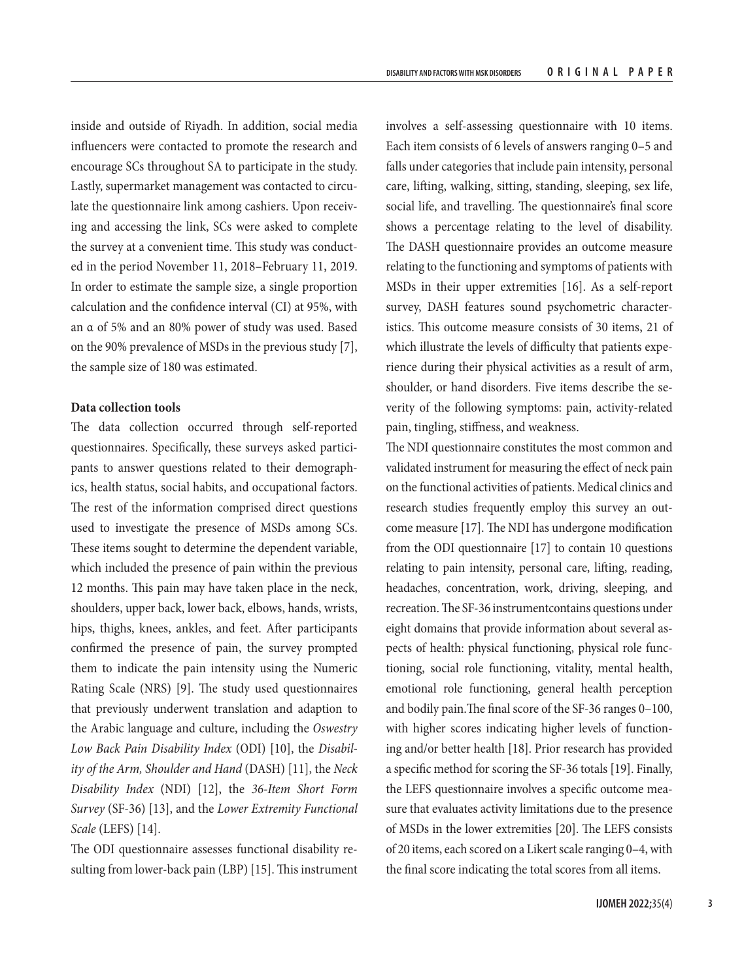inside and outside of Riyadh. In addition, social media influencers were contacted to promote the research and encourage SCs throughout SA to participate in the study. Lastly, supermarket management was contacted to circulate the questionnaire link among cashiers. Upon receiving and accessing the link, SCs were asked to complete the survey at a convenient time. This study was conducted in the period November 11, 2018–February 11, 2019. In order to estimate the sample size, a single proportion calculation and the confidence interval (CI) at 95%, with an α of 5% and an 80% power of study was used. Based on the 90% prevalence of MSDs in the previous study [7], the sample size of 180 was estimated.

# **Data collection tools**

The data collection occurred through self-reported questionnaires. Specifically, these surveys asked participants to answer questions related to their demographics, health status, social habits, and occupational factors. The rest of the information comprised direct questions used to investigate the presence of MSDs among SCs. These items sought to determine the dependent variable, which included the presence of pain within the previous 12 months. This pain may have taken place in the neck, shoulders, upper back, lower back, elbows, hands, wrists, hips, thighs, knees, ankles, and feet. After participants confirmed the presence of pain, the survey prompted them to indicate the pain intensity using the Numeric Rating Scale (NRS) [9]. The study used questionnaires that previously underwent translation and adaption to the Arabic language and culture, including the *Oswestry Low Back Pain Disability Index* (ODI) [10], the *Disability of the Arm, Shoulder and Hand* (DASH) [11], the *Neck Disability Index* (NDI) [12], the *36-Item Short Form Survey* (SF-36) [13], and the *Lower Extremity Functional Scale* (LEFS) [14].

The ODI questionnaire assesses functional disability resulting from lower-back pain (LBP) [15]. This instrument involves a self-assessing questionnaire with 10 items. Each item consists of 6 levels of answers ranging 0–5 and falls under categories that include pain intensity, personal care, lifting, walking, sitting, standing, sleeping, sex life, social life, and travelling. The questionnaire's final score shows a percentage relating to the level of disability. The DASH questionnaire provides an outcome measure relating to the functioning and symptoms of patients with MSDs in their upper extremities [16]. As a self-report survey, DASH features sound psychometric characteristics. This outcome measure consists of 30 items, 21 of which illustrate the levels of difficulty that patients experience during their physical activities as a result of arm, shoulder, or hand disorders. Five items describe the severity of the following symptoms: pain, activity-related pain, tingling, stiffness, and weakness.

The NDI questionnaire constitutes the most common and validated instrument for measuring the effect of neck pain on the functional activities of patients. Medical clinics and research studies frequently employ this survey an outcome measure [17]. The NDI has undergone modification from the ODI questionnaire [17] to contain 10 questions relating to pain intensity, personal care, lifting, reading, headaches, concentration, work, driving, sleeping, and recreation. The SF-36 instrumentcontains questions under eight domains that provide information about several aspects of health: physical functioning, physical role functioning, social role functioning, vitality, mental health, emotional role functioning, general health perception and bodily pain.The final score of the SF-36 ranges 0–100, with higher scores indicating higher levels of functioning and/or better health [18]. Prior research has provided a specific method for scoring the SF-36 totals [19]. Finally, the LEFS questionnaire involves a specific outcome measure that evaluates activity limitations due to the presence of MSDs in the lower extremities [20]. The LEFS consists of 20 items, each scored on a Likert scale ranging 0–4, with the final score indicating the total scores from all items.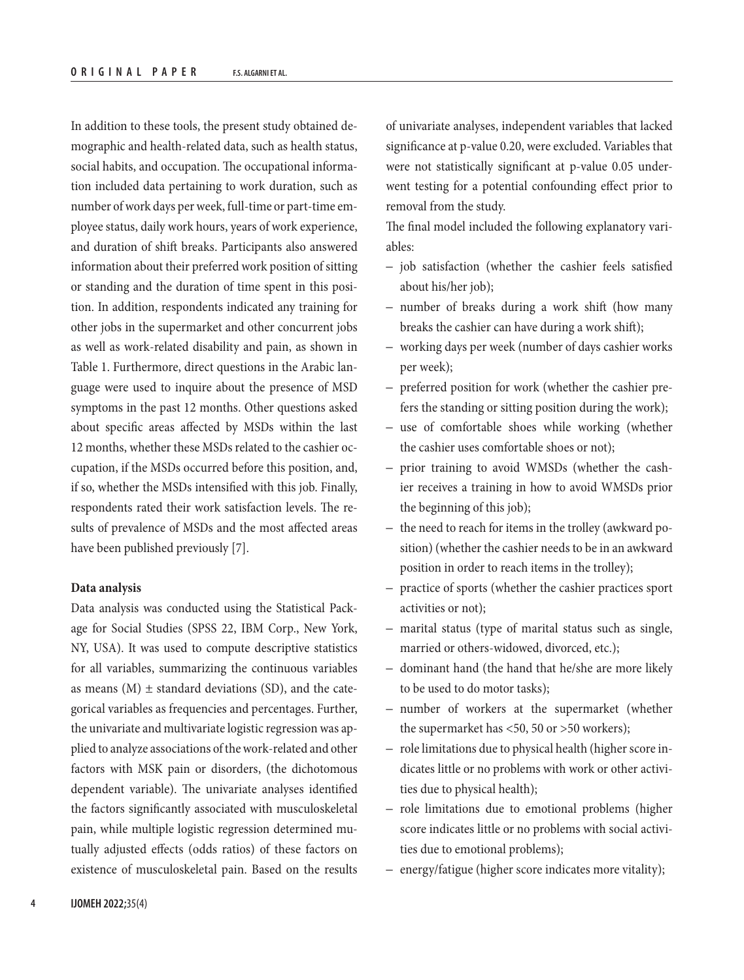In addition to these tools, the present study obtained demographic and health-related data, such as health status, social habits, and occupation. The occupational information included data pertaining to work duration, such as number of work days per week, full-time or part-time employee status, daily work hours, years of work experience, and duration of shift breaks. Participants also answered information about their preferred work position of sitting or standing and the duration of time spent in this position. In addition, respondents indicated any training for other jobs in the supermarket and other concurrent jobs as well as work-related disability and pain, as shown in Table 1. Furthermore, direct questions in the Arabic language were used to inquire about the presence of MSD symptoms in the past 12 months. Other questions asked about specific areas affected by MSDs within the last 12 months, whether these MSDs related to the cashier occupation, if the MSDs occurred before this position, and, if so, whether the MSDs intensified with this job. Finally, respondents rated their work satisfaction levels. The results of prevalence of MSDs and the most affected areas have been published previously [7].

## **Data analysis**

Data analysis was conducted using the Statistical Package for Social Studies (SPSS 22, IBM Corp., New York, NY, USA). It was used to compute descriptive statistics for all variables, summarizing the continuous variables as means  $(M) \pm$  standard deviations (SD), and the categorical variables as frequencies and percentages. Further, the univariate and multivariate logistic regression was applied to analyze associations of the work-related and other factors with MSK pain or disorders, (the dichotomous dependent variable). The univariate analyses identified the factors significantly associated with musculoskeletal pain, while multiple logistic regression determined mutually adjusted effects (odds ratios) of these factors on existence of musculoskeletal pain. Based on the results

of univariate analyses, independent variables that lacked significance at p-value 0.20, were excluded. Variables that were not statistically significant at p-value 0.05 underwent testing for a potential confounding effect prior to removal from the study.

The final model included the following explanatory variables:

- job satisfaction (whether the cashier feels satisfied about his/her job);
- number of breaks during a work shift (how many breaks the cashier can have during a work shift);
- working days per week (number of days cashier works per week);
- preferred position for work (whether the cashier prefers the standing or sitting position during the work);
- use of comfortable shoes while working (whether the cashier uses comfortable shoes or not);
- prior training to avoid WMSDs (whether the cashier receives a training in how to avoid WMSDs prior the beginning of this job);
- the need to reach for items in the trolley (awkward position) (whether the cashier needs to be in an awkward position in order to reach items in the trolley);
- practice of sports (whether the cashier practices sport activities or not);
- marital status (type of marital status such as single, married or others-widowed, divorced, etc.);
- dominant hand (the hand that he/she are more likely to be used to do motor tasks);
- number of workers at the supermarket (whether the supermarket has <50, 50 or >50 workers);
- role limitations due to physical health (higher score indicates little or no problems with work or other activities due to physical health);
- role limitations due to emotional problems (higher score indicates little or no problems with social activities due to emotional problems);
- energy/fatigue (higher score indicates more vitality);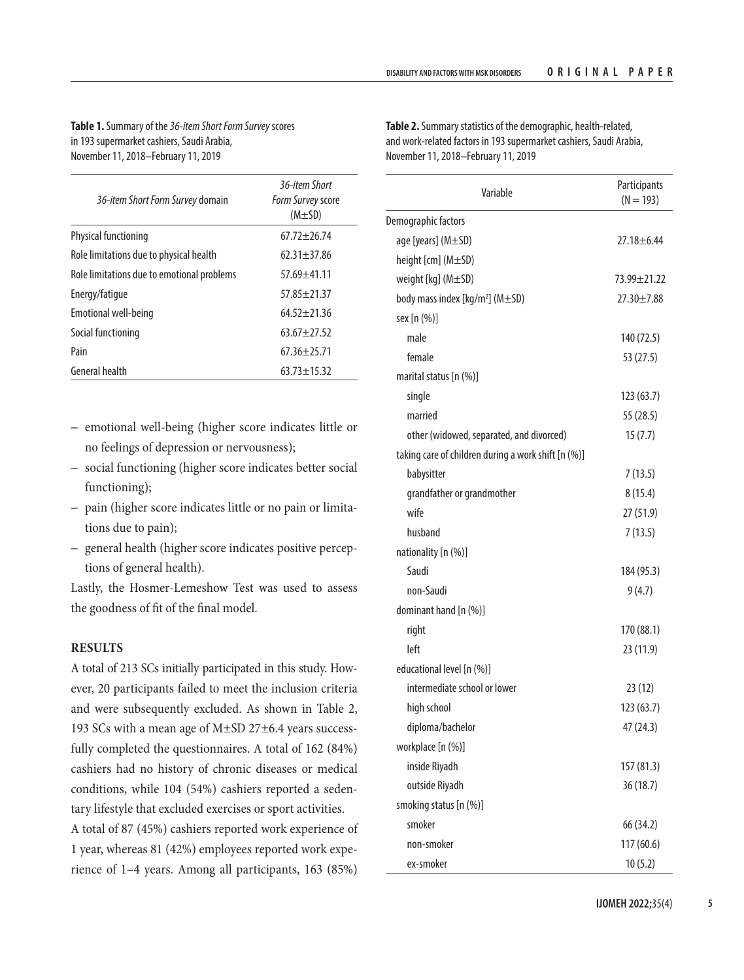**Table 1.** Summary of the *36-item Short Form Survey* scores in 193 supermarket cashiers, Saudi Arabia, November 11, 2018–February 11, 2019

| 36-item Short Form Survey domain           | 36-item Short<br>Form Survey score<br>$(M\pm SD)$ |
|--------------------------------------------|---------------------------------------------------|
| <b>Physical functioning</b>                | $67.72 + 26.74$                                   |
| Role limitations due to physical health    | $62.31 + 37.86$                                   |
| Role limitations due to emotional problems | $57.69 + 41.11$                                   |
| Energy/fatique                             | $57.85 + 21.37$                                   |
| Emotional well-being                       | $64.52 + 21.36$                                   |
| Social functioning                         | $63.67 + 27.52$                                   |
| Pain                                       | $67.36 + 25.71$                                   |
| General health                             | $63.73 \pm 15.32$                                 |

- emotional well-being (higher score indicates little or no feelings of depression or nervousness);
- social functioning (higher score indicates better social functioning);
- pain (higher score indicates little or no pain or limitations due to pain);
- general health (higher score indicates positive perceptions of general health).

Lastly, the Hosmer-Lemeshow Test was used to assess the goodness of fit of the final model.

# **RESULTS**

A total of 213 SCs initially participated in this study. However, 20 participants failed to meet the inclusion criteria and were subsequently excluded. As shown in Table 2, 193 SCs with a mean age of M±SD 27±6.4 years successfully completed the questionnaires. A total of 162 (84%) cashiers had no history of chronic diseases or medical conditions, while 104 (54%) cashiers reported a sedentary lifestyle that excluded exercises or sport activities. A total of 87 (45%) cashiers reported work experience of 1 year, whereas 81 (42%) employees reported work experience of 1–4 years. Among all participants, 163 (85%)

**Table 2.** Summary statistics of the demographic, health-related, and work-related factors in 193 supermarket cashiers, Saudi Arabia, November 11, 2018–February 11, 2019

| Variable                                            | Participants<br>$(N = 193)$ |
|-----------------------------------------------------|-----------------------------|
| Demographic factors                                 |                             |
| age [years] (M±SD)                                  | $27.18 \pm 6.44$            |
| height [cm] (M±SD)                                  |                             |
| weight [kg] (M±SD)                                  | 73.99 ± 21.22               |
| body mass index [kg/m <sup>2</sup> ] (M±SD)         | 27.30±7.88                  |
| sex [n (%)]                                         |                             |
| male                                                | 140 (72.5)                  |
| female                                              | 53 (27.5)                   |
| marital status [n (%)]                              |                             |
| single                                              | 123(63.7)                   |
| married                                             | 55 (28.5)                   |
| other (widowed, separated, and divorced)            | 15(7.7)                     |
| taking care of children during a work shift [n (%)] |                             |
| babysitter                                          | 7(13.5)                     |
| grandfather or grandmother                          | 8(15.4)                     |
| wife                                                | 27 (51.9)                   |
| husband                                             | 7(13.5)                     |
| nationality [n (%)]                                 |                             |
| Saudi                                               | 184 (95.3)                  |
| non-Saudi                                           | 9(4.7)                      |
| dominant hand [n (%)]                               |                             |
| right                                               | 170 (88.1)                  |
| left                                                | 23 (11.9)                   |
| educational level [n (%)]                           |                             |
| intermediate school or lower                        | 23 (12)                     |
| high school                                         | 123 (63.7)                  |
| diploma/bachelor                                    | 47 (24.3)                   |
| workplace [n (%)]                                   |                             |
| inside Riyadh                                       | 157 (81.3)                  |
| outside Riyadh                                      | 36 (18.7)                   |
| smoking status [n (%)]                              |                             |
| smoker                                              | 66 (34.2)                   |
| non-smoker                                          | 117 (60.6)                  |
| ex-smoker                                           | 10(5.2)                     |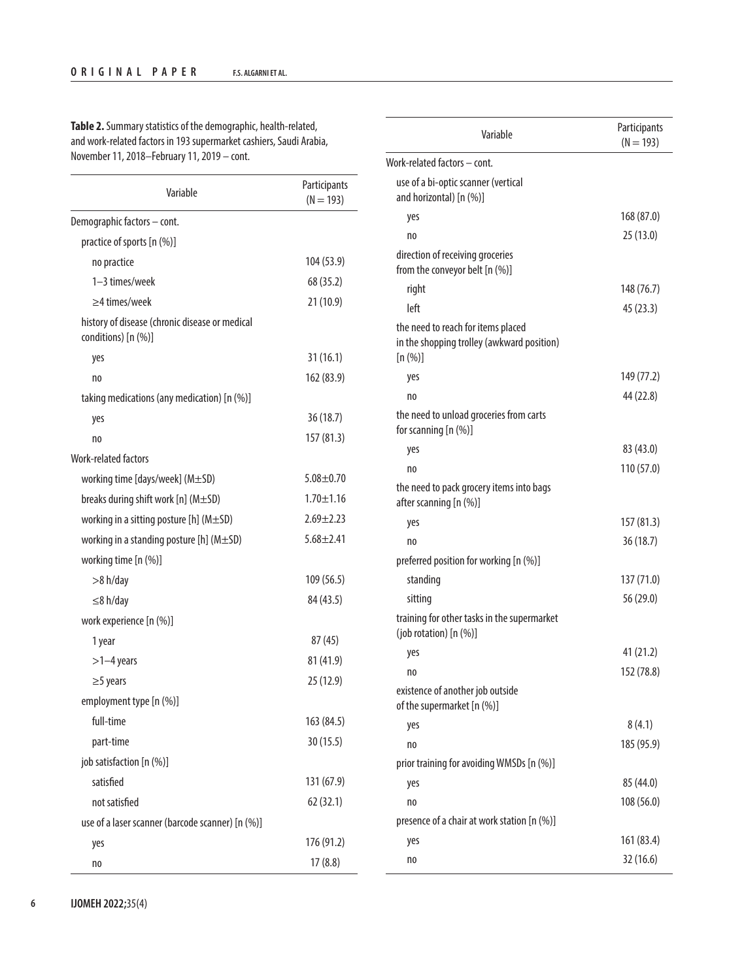| Variable                                                                | Participants<br>$(N = 193)$ |
|-------------------------------------------------------------------------|-----------------------------|
| Demographic factors - cont.                                             |                             |
| practice of sports [n (%)]                                              |                             |
| no practice                                                             | 104 (53.9)                  |
| 1-3 times/week                                                          | 68 (35.2)                   |
| $\geq$ 4 times/week                                                     | 21 (10.9)                   |
| history of disease (chronic disease or medical<br>conditions) $[n (%)]$ |                             |
| yes                                                                     | 31(16.1)                    |
| no                                                                      | 162 (83.9)                  |
| taking medications (any medication) [n (%)]                             |                             |
| yes                                                                     | 36(18.7)                    |
| no                                                                      | 157 (81.3)                  |
| Work-related factors                                                    |                             |
| working time [days/week] (M±SD)                                         | $5.08 \pm 0.70$             |
| breaks during shift work [n] (M±SD)                                     | $1.70 \pm 1.16$             |
| working in a sitting posture [h] ( $M\pm SD$ )                          | $2.69 \pm 2.23$             |
| working in a standing posture $[h]$ (M $\pm$ SD)                        | $5.68 \pm 2.41$             |
| working time [n (%)]                                                    |                             |
| >8 h/day                                                                | 109 (56.5)                  |
| $\leq$ 8 h/day                                                          | 84 (43.5)                   |
| work experience [n (%)]                                                 |                             |
| 1 year                                                                  | 87 (45)                     |
| $>1-4$ years                                                            | 81 (41.9)                   |
| $\geq$ 5 years                                                          | 25 (12.9)                   |
| employment type [n (%)]                                                 |                             |
| full-time                                                               | 163 (84.5)                  |
| part-time                                                               | 30 (15.5)                   |
| job satisfaction [n (%)]                                                |                             |
| satisfied                                                               | 131 (67.9)                  |
| not satisfied                                                           | 62 (32.1)                   |
| use of a laser scanner (barcode scanner) [n (%)]                        |                             |
| yes                                                                     | 176 (91.2)                  |
| no                                                                      | 17(8.8)                     |

| Variable                                                                                    | Participants<br>$(N = 193)$ |
|---------------------------------------------------------------------------------------------|-----------------------------|
| Work-related factors - cont.                                                                |                             |
| use of a bi-optic scanner (vertical<br>and horizontal) [n (%)]                              |                             |
| yes                                                                                         | 168 (87.0)                  |
| no                                                                                          | 25 (13.0)                   |
| direction of receiving groceries<br>from the conveyor belt [n (%)]                          |                             |
| right                                                                                       | 148 (76.7)                  |
| left                                                                                        | 45 (23.3)                   |
| the need to reach for items placed<br>in the shopping trolley (awkward position)<br>[n (%)] |                             |
| yes                                                                                         | 149 (77.2)                  |
| no                                                                                          | 44 (22.8)                   |
| the need to unload groceries from carts<br>for scanning [n (%)]                             |                             |
| yes                                                                                         | 83 (43.0)                   |
| no                                                                                          | 110 (57.0)                  |
| the need to pack grocery items into bags<br>after scanning [n (%)]                          |                             |
| yes                                                                                         | 157 (81.3)                  |
| no                                                                                          | 36(18.7)                    |
| preferred position for working [n (%)]                                                      |                             |
| standing                                                                                    | 137 (71.0)                  |
| sitting                                                                                     | 56 (29.0)                   |
| training for other tasks in the supermarket<br>(job rotation) [n (%)]                       |                             |
| yes                                                                                         | 41 (21.2)                   |
| $\mathbf{110}$                                                                              | 152 (78.8)                  |
| existence of another job outside<br>of the supermarket [n (%)]                              |                             |
| yes                                                                                         | 8(4.1)                      |
| no                                                                                          | 185 (95.9)                  |
| prior training for avoiding WMSDs [n (%)]                                                   |                             |
| yes                                                                                         | 85 (44.0)                   |
| no                                                                                          | 108 (56.0)                  |
| presence of a chair at work station [n (%)]                                                 |                             |
| yes                                                                                         | 161 (83.4)                  |
| no                                                                                          | 32 (16.6)                   |

**Table 2.** Summary statistics of the demographic, health-related, and work-related factors in 193 supermarket cashiers, Saudi Arabia, November 11, 2018–February 11, 2019 – cont.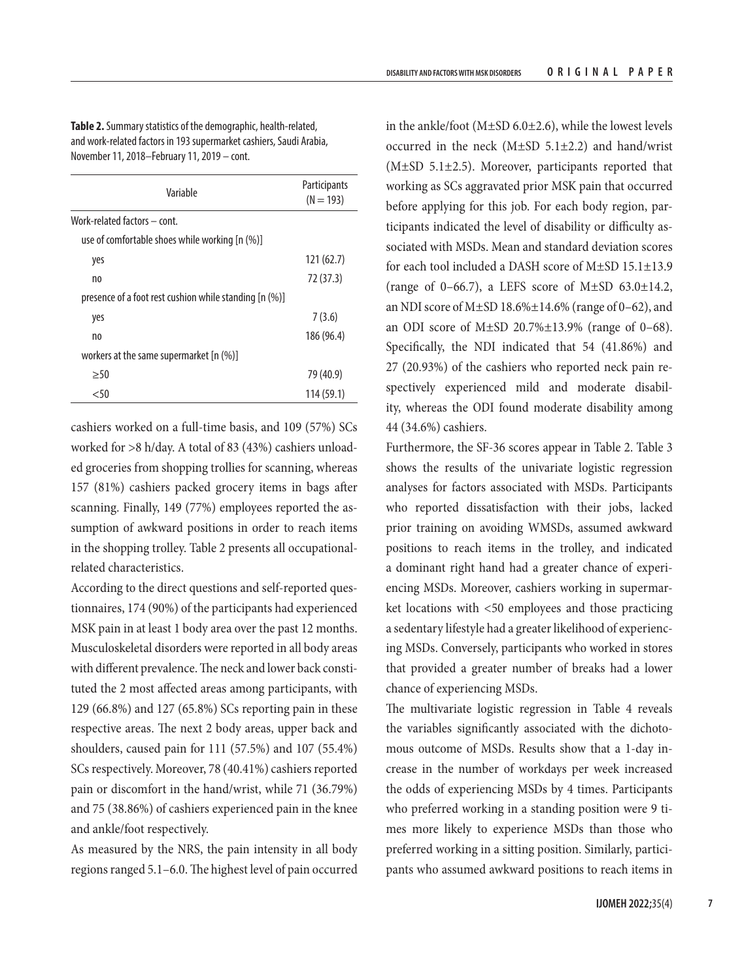**Table 2.** Summary statistics of the demographic, health-related, and work-related factors in 193 supermarket cashiers, Saudi Arabia, November 11, 2018–February 11, 2019 – cont.

| Variable                                               | Participants<br>$(N = 193)$ |
|--------------------------------------------------------|-----------------------------|
| Work-related factors - cont.                           |                             |
| use of comfortable shoes while working [n (%)]         |                             |
| yes                                                    | 121(62.7)                   |
| no                                                     | 72 (37.3)                   |
| presence of a foot rest cushion while standing [n (%)] |                             |
| yes                                                    | 7(3.6)                      |
| no                                                     | 186 (96.4)                  |
| workers at the same supermarket [n (%)]                |                             |
| >50                                                    | 79 (40.9)                   |
| $50$                                                   | 114 (59.1)                  |

cashiers worked on a full-time basis, and 109 (57%) SCs worked for >8 h/day. A total of 83 (43%) cashiers unloaded groceries from shopping trollies for scanning, whereas 157 (81%) cashiers packed grocery items in bags after scanning. Finally, 149 (77%) employees reported the assumption of awkward positions in order to reach items in the shopping trolley. Table 2 presents all occupationalrelated characteristics.

According to the direct questions and self-reported questionnaires, 174 (90%) of the participants had experienced MSK pain in at least 1 body area over the past 12 months. Musculoskeletal disorders were reported in all body areas with different prevalence. The neck and lower back constituted the 2 most affected areas among participants, with 129 (66.8%) and 127 (65.8%) SCs reporting pain in these respective areas. The next 2 body areas, upper back and shoulders, caused pain for 111 (57.5%) and 107 (55.4%) SCs respectively. Moreover, 78 (40.41%) cashiers reported pain or discomfort in the hand/wrist, while 71 (36.79%) and 75 (38.86%) of cashiers experienced pain in the knee and ankle/foot respectively.

As measured by the NRS, the pain intensity in all body regions ranged 5.1–6.0. The highest level of pain occurred

in the ankle/foot ( $M\pm SD$  6.0 $\pm 2.6$ ), while the lowest levels occurred in the neck  $(M\pm SD 5.1\pm 2.2)$  and hand/wrist (M±SD 5.1±2.5). Moreover, participants reported that working as SCs aggravated prior MSK pain that occurred before applying for this job. For each body region, participants indicated the level of disability or difficulty associated with MSDs. Mean and standard deviation scores for each tool included a DASH score of M±SD 15.1±13.9 (range of 0–66.7), a LEFS score of M $\pm$ SD 63.0 $\pm$ 14.2, an NDI score of M±SD 18.6%±14.6% (range of 0–62), and an ODI score of M $\pm$ SD 20.7% $\pm$ 13.9% (range of 0–68). Specifically, the NDI indicated that 54 (41.86%) and 27 (20.93%) of the cashiers who reported neck pain respectively experienced mild and moderate disability, whereas the ODI found moderate disability among 44 (34.6%) cashiers.

Furthermore, the SF-36 scores appear in Table 2. Table 3 shows the results of the univariate logistic regression analyses for factors associated with MSDs. Participants who reported dissatisfaction with their jobs, lacked prior training on avoiding WMSDs, assumed awkward positions to reach items in the trolley, and indicated a dominant right hand had a greater chance of experiencing MSDs. Moreover, cashiers working in supermarket locations with <50 employees and those practicing a sedentary lifestyle had a greater likelihood of experiencing MSDs. Conversely, participants who worked in stores that provided a greater number of breaks had a lower chance of experiencing MSDs.

The multivariate logistic regression in Table 4 reveals the variables significantly associated with the dichotomous outcome of MSDs. Results show that a 1-day increase in the number of workdays per week increased the odds of experiencing MSDs by 4 times. Participants who preferred working in a standing position were 9 times more likely to experience MSDs than those who preferred working in a sitting position. Similarly, participants who assumed awkward positions to reach items in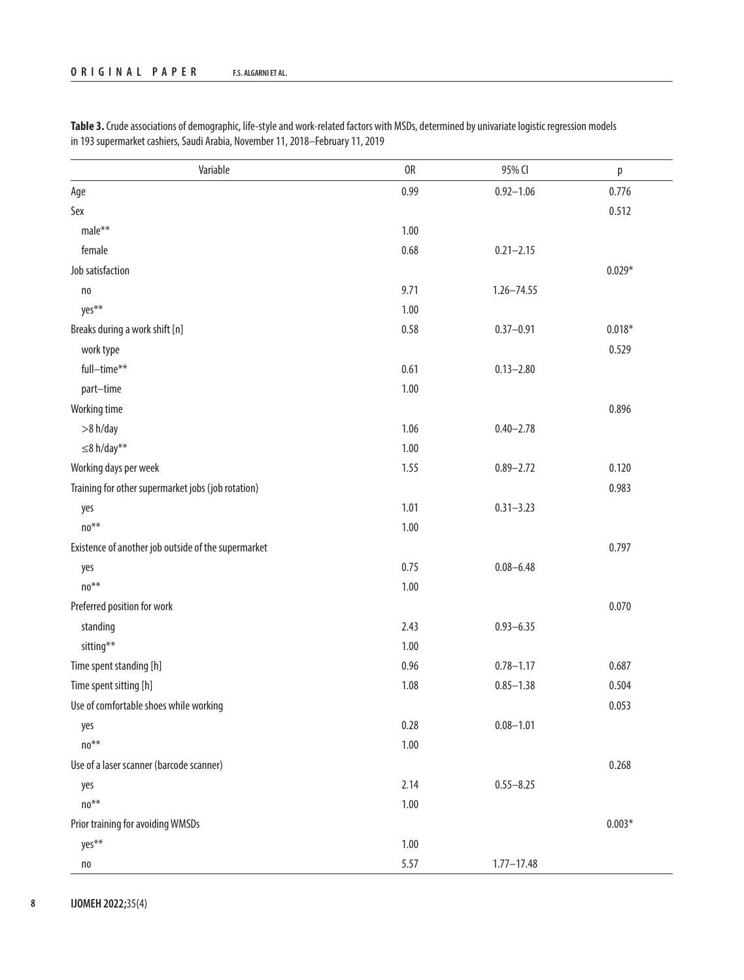| Variable                                            | 0R   | 95% CI         | p        |
|-----------------------------------------------------|------|----------------|----------|
| Age                                                 | 0.99 | $0.92 - 1.06$  | 0.776    |
| Sex                                                 |      |                | 0.512    |
| male**                                              | 1.00 |                |          |
| female                                              | 0.68 | $0.21 - 2.15$  |          |
| Job satisfaction                                    |      |                | $0.029*$ |
| n <sub>0</sub>                                      | 9.71 | $1.26 - 74.55$ |          |
| yes**                                               | 1.00 |                |          |
| Breaks during a work shift [n]                      | 0.58 | $0.37 - 0.91$  | $0.018*$ |
| work type                                           |      |                | 0.529    |
| full-time**                                         | 0.61 | $0.13 - 2.80$  |          |
| part-time                                           | 1.00 |                |          |
| Working time                                        |      |                | 0.896    |
| >8 h/day                                            | 1.06 | $0.40 - 2.78$  |          |
| $\leq$ 8 h/day**                                    | 1.00 |                |          |
| Working days per week                               | 1.55 | $0.89 - 2.72$  | 0.120    |
| Training for other supermarket jobs (job rotation)  |      |                | 0.983    |
| yes                                                 | 1.01 | $0.31 - 3.23$  |          |
| $no**$                                              | 1.00 |                |          |
| Existence of another job outside of the supermarket |      |                | 0.797    |
| yes                                                 | 0.75 | $0.08 - 6.48$  |          |
| $no**$                                              | 1.00 |                |          |
| Preferred position for work                         |      |                | 0.070    |
| standing                                            | 2.43 | $0.93 - 6.35$  |          |
| sitting**                                           | 1.00 |                |          |
| Time spent standing [h]                             | 0.96 | $0.78 - 1.17$  | 0.687    |
| Time spent sitting [h]                              | 1.08 | $0.85 - 1.38$  | 0.504    |
| Use of comfortable shoes while working              |      |                | 0.053    |
| yes                                                 | 0.28 | $0.08 - 1.01$  |          |
| $no***$                                             | 1.00 |                |          |
| Use of a laser scanner (barcode scanner)            |      |                | 0.268    |
| yes                                                 | 2.14 | $0.55 - 8.25$  |          |
| no**                                                | 1.00 |                |          |
| Prior training for avoiding WMSDs                   |      |                | $0.003*$ |
| yes**                                               | 1.00 |                |          |
| $\mathsf{no}$                                       | 5.57 | $1.77 - 17.48$ |          |

**Table 3.** Crude associations of demographic, life-style and work-related factors with MSDs, determined by univariate logistic regression models in 193 supermarket cashiers, Saudi Arabia, November 11, 2018–February 11, 2019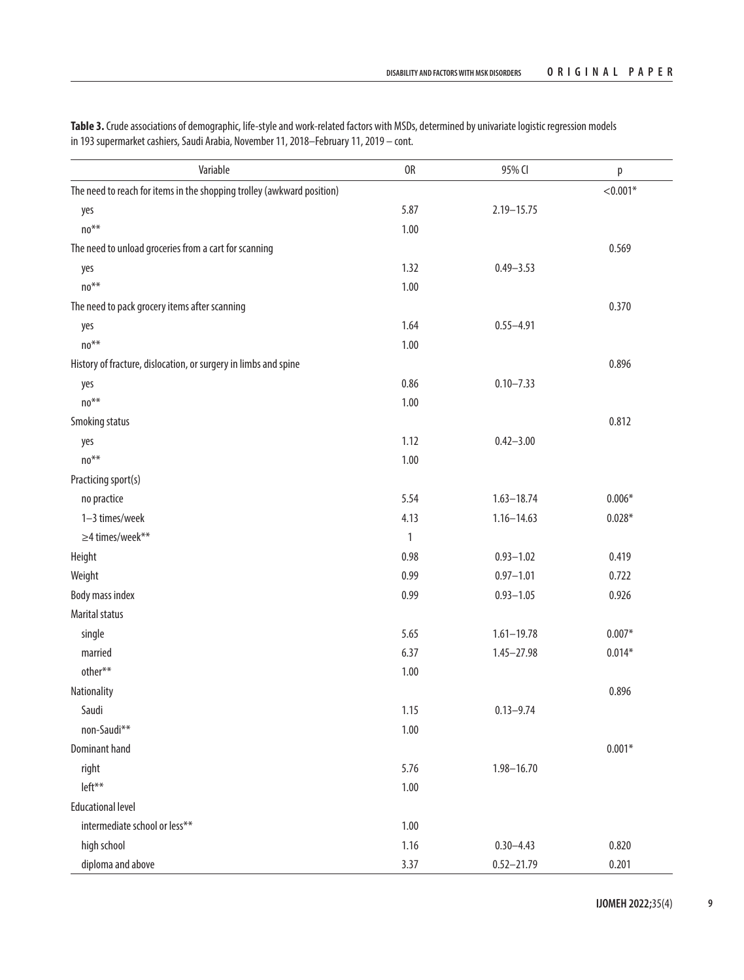| Variable                                                               | 0R           | 95% CI         | р          |
|------------------------------------------------------------------------|--------------|----------------|------------|
| The need to reach for items in the shopping trolley (awkward position) |              |                | $< 0.001*$ |
| yes                                                                    | 5.87         | $2.19 - 15.75$ |            |
| $no**$                                                                 | 1.00         |                |            |
| The need to unload groceries from a cart for scanning                  |              |                | 0.569      |
| yes                                                                    | 1.32         | $0.49 - 3.53$  |            |
| $no**$                                                                 | 1.00         |                |            |
| The need to pack grocery items after scanning                          |              |                | 0.370      |
| yes                                                                    | 1.64         | $0.55 - 4.91$  |            |
| $no**$                                                                 | 1.00         |                |            |
| History of fracture, dislocation, or surgery in limbs and spine        |              |                | 0.896      |
| yes                                                                    | 0.86         | $0.10 - 7.33$  |            |
| $no**$                                                                 | 1.00         |                |            |
| Smoking status                                                         |              |                | 0.812      |
| yes                                                                    | 1.12         | $0.42 - 3.00$  |            |
| $no**$                                                                 | 1.00         |                |            |
| Practicing sport(s)                                                    |              |                |            |
| no practice                                                            | 5.54         | $1.63 - 18.74$ | $0.006*$   |
| 1-3 times/week                                                         | 4.13         | $1.16 - 14.63$ | $0.028*$   |
| ≥4 times/week**                                                        | $\mathbf{1}$ |                |            |
| Height                                                                 | 0.98         | $0.93 - 1.02$  | 0.419      |
| Weight                                                                 | 0.99         | $0.97 - 1.01$  | 0.722      |
| Body mass index                                                        | 0.99         | $0.93 - 1.05$  | 0.926      |
| <b>Marital status</b>                                                  |              |                |            |
| single                                                                 | 5.65         | $1.61 - 19.78$ | $0.007*$   |
| married                                                                | 6.37         | $1.45 - 27.98$ | $0.014*$   |
| other**                                                                | 1.00         |                |            |
| Nationality                                                            |              |                | 0.896      |
| Saudi                                                                  | 1.15         | $0.13 - 9.74$  |            |
| non-Saudi**                                                            | 1.00         |                |            |
| <b>Dominant hand</b>                                                   |              |                | $0.001*$   |
| right                                                                  | 5.76         | $1.98 - 16.70$ |            |
| left**                                                                 | 1.00         |                |            |
| <b>Educational level</b>                                               |              |                |            |
| intermediate school or less**                                          | 1.00         |                |            |
| high school                                                            | 1.16         | $0.30 - 4.43$  | 0.820      |
| diploma and above                                                      | 3.37         | $0.52 - 21.79$ | 0.201      |

**Table 3.** Crude associations of demographic, life-style and work-related factors with MSDs, determined by univariate logistic regression models in 193 supermarket cashiers, Saudi Arabia, November 11, 2018–February 11, 2019 – cont.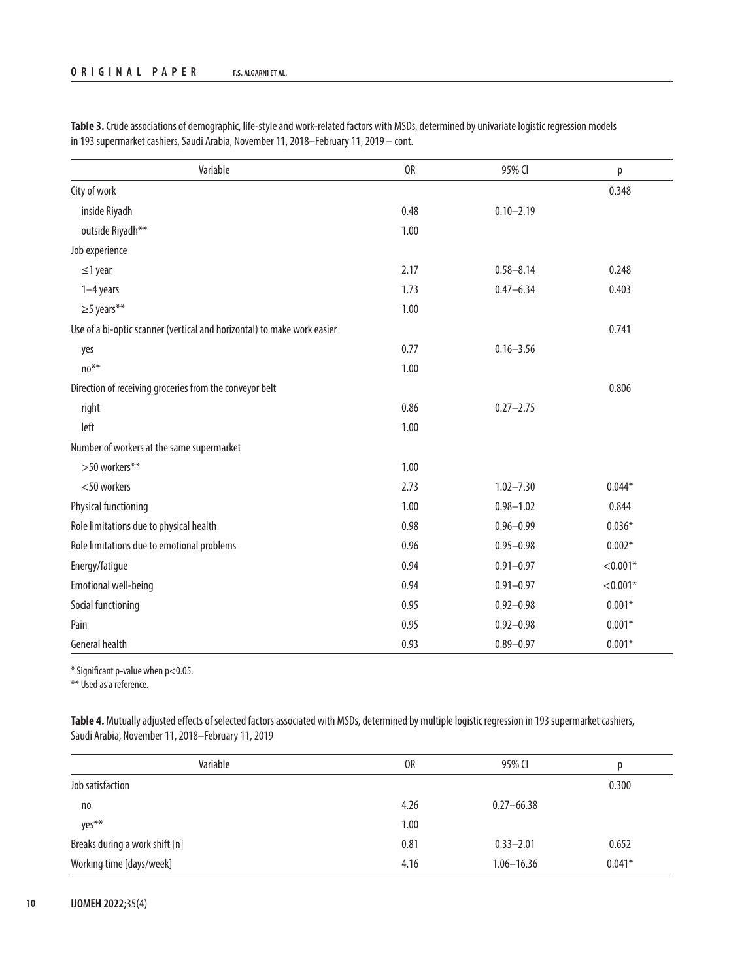| Variable                                                                | 0R   | 95% CI        | р          |
|-------------------------------------------------------------------------|------|---------------|------------|
| City of work                                                            |      |               | 0.348      |
| inside Riyadh                                                           | 0.48 | $0.10 - 2.19$ |            |
| outside Riyadh**                                                        | 1.00 |               |            |
| Job experience                                                          |      |               |            |
| $\leq$ 1 year                                                           | 2.17 | $0.58 - 8.14$ | 0.248      |
| $1-4$ years                                                             | 1.73 | $0.47 - 6.34$ | 0.403      |
| $\geq$ 5 years**                                                        | 1.00 |               |            |
| Use of a bi-optic scanner (vertical and horizontal) to make work easier |      |               | 0.741      |
| yes                                                                     | 0.77 | $0.16 - 3.56$ |            |
| $no**$                                                                  | 1.00 |               |            |
| Direction of receiving groceries from the conveyor belt                 |      |               | 0.806      |
| right                                                                   | 0.86 | $0.27 - 2.75$ |            |
| left                                                                    | 1.00 |               |            |
| Number of workers at the same supermarket                               |      |               |            |
| >50 workers**                                                           | 1.00 |               |            |
| <50 workers                                                             | 2.73 | $1.02 - 7.30$ | $0.044*$   |
| <b>Physical functioning</b>                                             | 1.00 | $0.98 - 1.02$ | 0.844      |
| Role limitations due to physical health                                 | 0.98 | $0.96 - 0.99$ | $0.036*$   |
| Role limitations due to emotional problems                              | 0.96 | $0.95 - 0.98$ | $0.002*$   |
| Energy/fatigue                                                          | 0.94 | $0.91 - 0.97$ | $< 0.001*$ |
| <b>Emotional well-being</b>                                             | 0.94 | $0.91 - 0.97$ | $< 0.001*$ |
| Social functioning                                                      | 0.95 | $0.92 - 0.98$ | $0.001*$   |
| Pain                                                                    | 0.95 | $0.92 - 0.98$ | $0.001*$   |
| <b>General health</b>                                                   | 0.93 | $0.89 - 0.97$ | $0.001*$   |

**Table 3.** Crude associations of demographic, life-style and work-related factors with MSDs, determined by univariate logistic regression models in 193 supermarket cashiers, Saudi Arabia, November 11, 2018–February 11, 2019 – cont.

 $*$  Significant p-value when p<0.05.

\*\* Used as a reference.

Table 4. Mutually adjusted effects of selected factors associated with MSDs, determined by multiple logistic regression in 193 supermarket cashiers, Saudi Arabia, November 11, 2018–February 11, 2019

| Variable                       | 0R   | 95% CI         | р        |
|--------------------------------|------|----------------|----------|
| Job satisfaction               |      |                | 0.300    |
| no                             | 4.26 | $0.27 - 66.38$ |          |
| yes**                          | 1.00 |                |          |
| Breaks during a work shift [n] | 0.81 | $0.33 - 2.01$  | 0.652    |
| Working time [days/week]       | 4.16 | $1.06 - 16.36$ | $0.041*$ |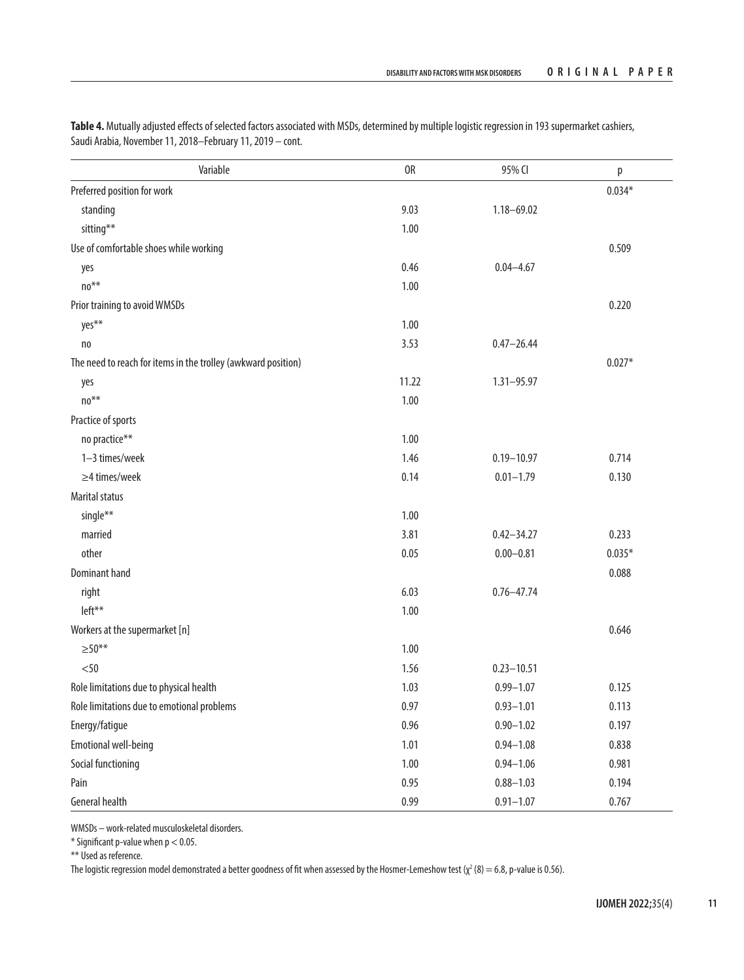| Variable                                                      | 0R    | 95% CI         | p        |
|---------------------------------------------------------------|-------|----------------|----------|
| Preferred position for work                                   |       |                | $0.034*$ |
| standing                                                      | 9.03  | $1.18 - 69.02$ |          |
| sitting**                                                     | 1.00  |                |          |
| Use of comfortable shoes while working                        |       |                | 0.509    |
| yes                                                           | 0.46  | $0.04 - 4.67$  |          |
| $\rm {no^{**}}$                                               | 1.00  |                |          |
| Prior training to avoid WMSDs                                 |       |                | 0.220    |
| yes**                                                         | 1.00  |                |          |
| no                                                            | 3.53  | $0.47 - 26.44$ |          |
| The need to reach for items in the trolley (awkward position) |       |                | $0.027*$ |
| yes                                                           | 11.22 | $1.31 - 95.97$ |          |
| $no**$                                                        | 1.00  |                |          |
| Practice of sports                                            |       |                |          |
| no practice**                                                 | 1.00  |                |          |
| 1-3 times/week                                                | 1.46  | $0.19 - 10.97$ | 0.714    |
| $\geq$ 4 times/week                                           | 0.14  | $0.01 - 1.79$  | 0.130    |
| <b>Marital status</b>                                         |       |                |          |
| single**                                                      | 1.00  |                |          |
| married                                                       | 3.81  | $0.42 - 34.27$ | 0.233    |
| other                                                         | 0.05  | $0.00 - 0.81$  | $0.035*$ |
| <b>Dominant hand</b>                                          |       |                | 0.088    |
| right                                                         | 6.03  | $0.76 - 47.74$ |          |
| left**                                                        | 1.00  |                |          |
| Workers at the supermarket [n]                                |       |                | 0.646    |
| $> 50**$                                                      | 1.00  |                |          |
| < 50                                                          | 1.56  | $0.23 - 10.51$ |          |
| Role limitations due to physical health                       | 1.03  | $0.99 - 1.07$  | 0.125    |
| Role limitations due to emotional problems                    | 0.97  | $0.93 - 1.01$  | 0.113    |
| Energy/fatigue                                                | 0.96  | $0.90 - 1.02$  | 0.197    |
| <b>Emotional well-being</b>                                   | 1.01  | $0.94 - 1.08$  | 0.838    |
| Social functioning                                            | 1.00  | $0.94 - 1.06$  | 0.981    |
| Pain                                                          | 0.95  | $0.88 - 1.03$  | 0.194    |
| <b>General health</b>                                         | 0.99  | $0.91 - 1.07$  | 0.767    |

Table 4. Mutually adjusted effects of selected factors associated with MSDs, determined by multiple logistic regression in 193 supermarket cashiers, Saudi Arabia, November 11, 2018–February 11, 2019 – cont.

WMSDs – work-related musculoskeletal disorders.

 $*$  Significant p-value when  $p < 0.05$ .

\*\* Used as reference.

The logistic regression model demonstrated a better goodness of fit when assessed by the Hosmer-Lemeshow test (χ² (8) = 6.8, p-value is 0.56).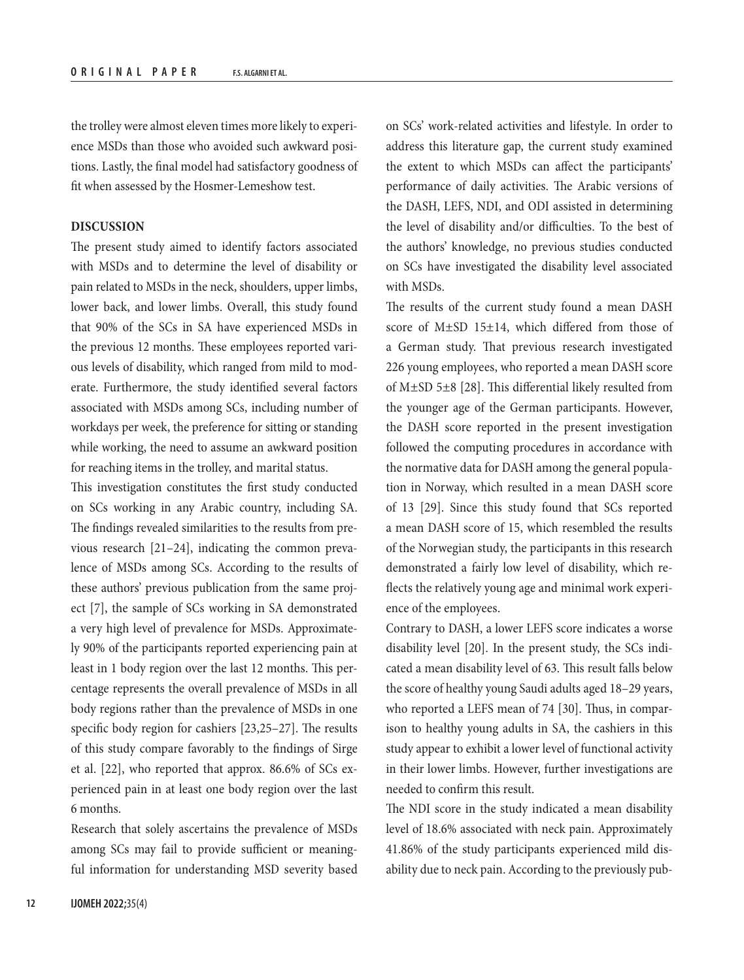the trolley were almost eleven times more likely to experience MSDs than those who avoided such awkward positions. Lastly, the final model had satisfactory goodness of fit when assessed by the Hosmer-Lemeshow test.

# **DISCUSSION**

The present study aimed to identify factors associated with MSDs and to determine the level of disability or pain related to MSDs in the neck, shoulders, upper limbs, lower back, and lower limbs. Overall, this study found that 90% of the SCs in SA have experienced MSDs in the previous 12 months. These employees reported various levels of disability, which ranged from mild to moderate. Furthermore, the study identified several factors associated with MSDs among SCs, including number of workdays per week, the preference for sitting or standing while working, the need to assume an awkward position for reaching items in the trolley, and marital status.

This investigation constitutes the first study conducted on SCs working in any Arabic country, including SA. The findings revealed similarities to the results from previous research [21–24], indicating the common prevalence of MSDs among SCs. According to the results of these authors' previous publication from the same project [7], the sample of SCs working in SA demonstrated a very high level of prevalence for MSDs. Approximately 90% of the participants reported experiencing pain at least in 1 body region over the last 12 months. This percentage represents the overall prevalence of MSDs in all body regions rather than the prevalence of MSDs in one specific body region for cashiers [23,25–27]. The results of this study compare favorably to the findings of Sirge et al. [22], who reported that approx. 86.6% of SCs experienced pain in at least one body region over the last 6 months.

Research that solely ascertains the prevalence of MSDs among SCs may fail to provide sufficient or meaningful information for understanding MSD severity based on SCs' work-related activities and lifestyle. In order to address this literature gap, the current study examined the extent to which MSDs can affect the participants' performance of daily activities. The Arabic versions of the DASH, LEFS, NDI, and ODI assisted in determining the level of disability and/or difficulties. To the best of the authors' knowledge, no previous studies conducted on SCs have investigated the disability level associated with MSDs.

The results of the current study found a mean DASH score of M±SD 15±14, which differed from those of a German study. That previous research investigated 226 young employees, who reported a mean DASH score of M±SD 5±8 [28]. This differential likely resulted from the younger age of the German participants. However, the DASH score reported in the present investigation followed the computing procedures in accordance with the normative data for DASH among the general population in Norway, which resulted in a mean DASH score of 13 [29]. Since this study found that SCs reported a mean DASH score of 15, which resembled the results of the Norwegian study, the participants in this research demonstrated a fairly low level of disability, which reflects the relatively young age and minimal work experience of the employees.

Contrary to DASH, a lower LEFS score indicates a worse disability level [20]. In the present study, the SCs indicated a mean disability level of 63. This result falls below the score of healthy young Saudi adults aged 18–29 years, who reported a LEFS mean of 74 [30]. Thus, in comparison to healthy young adults in SA, the cashiers in this study appear to exhibit a lower level of functional activity in their lower limbs. However, further investigations are needed to confirm this result.

The NDI score in the study indicated a mean disability level of 18.6% associated with neck pain. Approximately 41.86% of the study participants experienced mild disability due to neck pain. According to the previously pub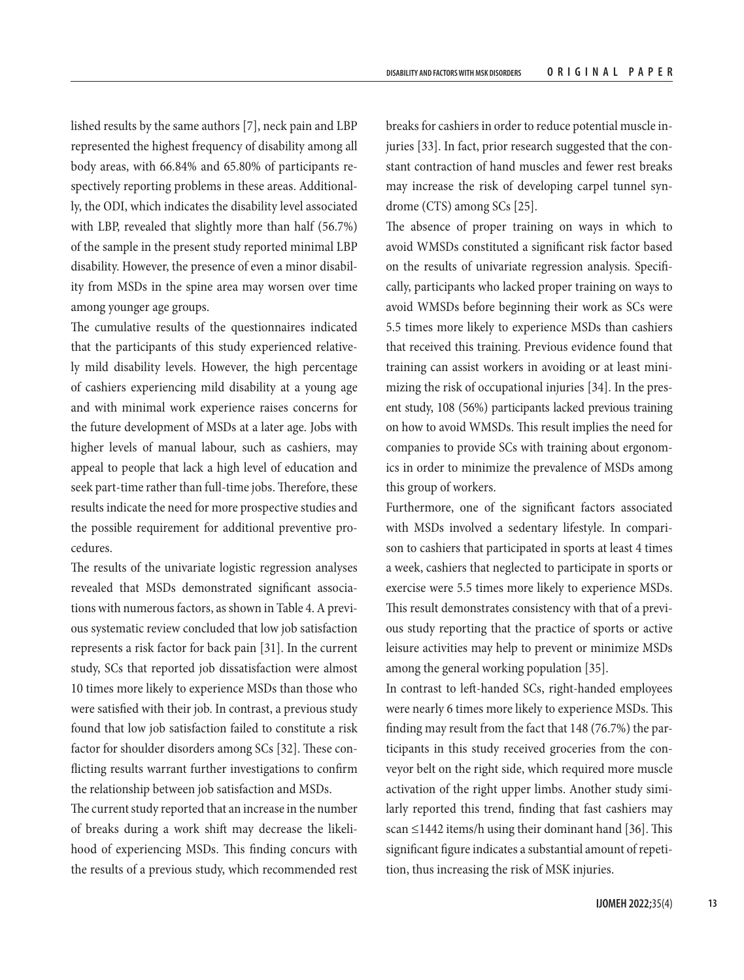lished results by the same authors [7], neck pain and LBP represented the highest frequency of disability among all body areas, with 66.84% and 65.80% of participants respectively reporting problems in these areas. Additionally, the ODI, which indicates the disability level associated with LBP, revealed that slightly more than half (56.7%) of the sample in the present study reported minimal LBP disability. However, the presence of even a minor disability from MSDs in the spine area may worsen over time among younger age groups.

The cumulative results of the questionnaires indicated that the participants of this study experienced relatively mild disability levels. However, the high percentage of cashiers experiencing mild disability at a young age and with minimal work experience raises concerns for the future development of MSDs at a later age. Jobs with higher levels of manual labour, such as cashiers, may appeal to people that lack a high level of education and seek part-time rather than full-time jobs. Therefore, these results indicate the need for more prospective studies and the possible requirement for additional preventive procedures.

The results of the univariate logistic regression analyses revealed that MSDs demonstrated significant associations with numerous factors, as shown in Table 4. A previous systematic review concluded that low job satisfaction represents a risk factor for back pain [31]. In the current study, SCs that reported job dissatisfaction were almost 10 times more likely to experience MSDs than those who were satisfied with their job. In contrast, a previous study found that low job satisfaction failed to constitute a risk factor for shoulder disorders among SCs [32]. These conflicting results warrant further investigations to confirm the relationship between job satisfaction and MSDs.

The current study reported that an increase in the number of breaks during a work shift may decrease the likelihood of experiencing MSDs. This finding concurs with the results of a previous study, which recommended rest breaks for cashiers in order to reduce potential muscle injuries [33]. In fact, prior research suggested that the constant contraction of hand muscles and fewer rest breaks may increase the risk of developing carpel tunnel syndrome (CTS) among SCs [25].

The absence of proper training on ways in which to avoid WMSDs constituted a significant risk factor based on the results of univariate regression analysis. Specifically, participants who lacked proper training on ways to avoid WMSDs before beginning their work as SCs were 5.5 times more likely to experience MSDs than cashiers that received this training. Previous evidence found that training can assist workers in avoiding or at least minimizing the risk of occupational injuries [34]. In the present study, 108 (56%) participants lacked previous training on how to avoid WMSDs. This result implies the need for companies to provide SCs with training about ergonomics in order to minimize the prevalence of MSDs among this group of workers.

Furthermore, one of the significant factors associated with MSDs involved a sedentary lifestyle. In comparison to cashiers that participated in sports at least 4 times a week, cashiers that neglected to participate in sports or exercise were 5.5 times more likely to experience MSDs. This result demonstrates consistency with that of a previous study reporting that the practice of sports or active leisure activities may help to prevent or minimize MSDs among the general working population [35].

In contrast to left-handed SCs, right-handed employees were nearly 6 times more likely to experience MSDs. This finding may result from the fact that 148 (76.7%) the participants in this study received groceries from the conveyor belt on the right side, which required more muscle activation of the right upper limbs. Another study similarly reported this trend, finding that fast cashiers may scan ≤1442 items/h using their dominant hand [36]. This significant figure indicates a substantial amount of repetition, thus increasing the risk of MSK injuries.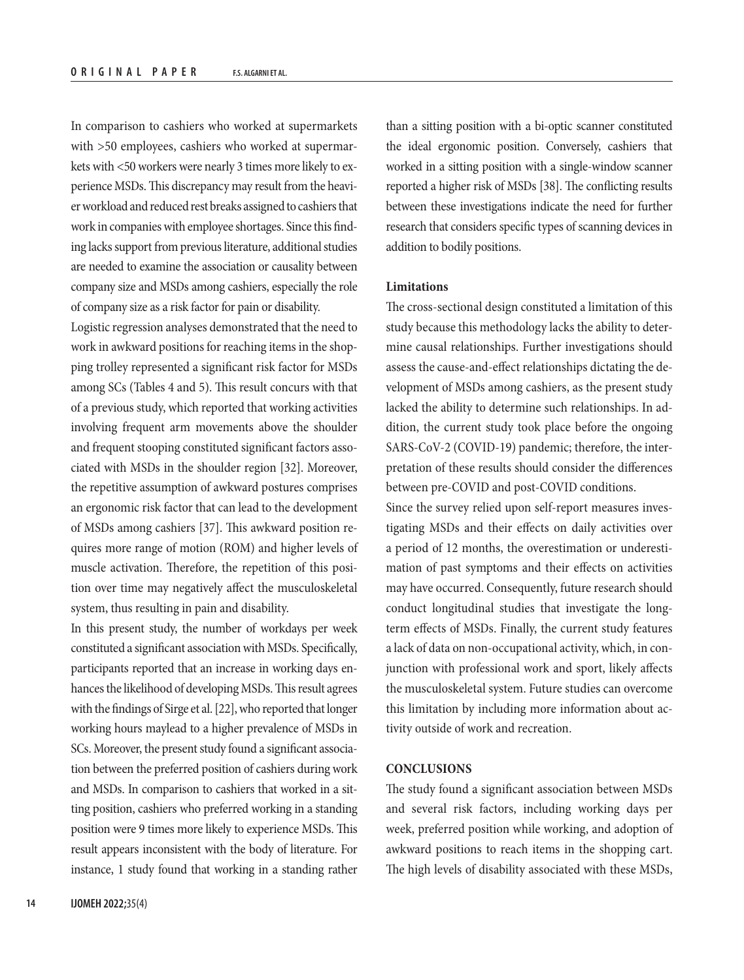In comparison to cashiers who worked at supermarkets with >50 employees, cashiers who worked at supermarkets with <50 workers were nearly 3 times more likely to experience MSDs. This discrepancy may result from the heavier workload and reduced rest breaks assigned to cashiers that work in companies with employee shortages. Since this finding lacks support from previous literature, additional studies are needed to examine the association or causality between company size and MSDs among cashiers, especially the role of company size as a risk factor for pain or disability.

Logistic regression analyses demonstrated that the need to work in awkward positions for reaching items in the shopping trolley represented a significant risk factor for MSDs among SCs (Tables 4 and 5). This result concurs with that of a previous study, which reported that working activities involving frequent arm movements above the shoulder and frequent stooping constituted significant factors associated with MSDs in the shoulder region [32]. Moreover, the repetitive assumption of awkward postures comprises an ergonomic risk factor that can lead to the development of MSDs among cashiers [37]. This awkward position requires more range of motion (ROM) and higher levels of muscle activation. Therefore, the repetition of this position over time may negatively affect the musculoskeletal system, thus resulting in pain and disability.

In this present study, the number of workdays per week constituted a significant association with MSDs. Specifically, participants reported that an increase in working days enhances the likelihood of developing MSDs. This result agrees with the findings of Sirge et al. [22], who reported that longer working hours maylead to a higher prevalence of MSDs in SCs. Moreover, the present study found a significant association between the preferred position of cashiers during work and MSDs. In comparison to cashiers that worked in a sitting position, cashiers who preferred working in a standing position were 9 times more likely to experience MSDs. This result appears inconsistent with the body of literature. For instance, 1 study found that working in a standing rather

than a sitting position with a bi-optic scanner constituted the ideal ergonomic position. Conversely, cashiers that worked in a sitting position with a single-window scanner reported a higher risk of MSDs [38]. The conflicting results between these investigations indicate the need for further research that considers specific types of scanning devices in addition to bodily positions.

#### **Limitations**

The cross-sectional design constituted a limitation of this study because this methodology lacks the ability to determine causal relationships. Further investigations should assess the cause-and-effect relationships dictating the development of MSDs among cashiers, as the present study lacked the ability to determine such relationships. In addition, the current study took place before the ongoing SARS-CoV-2 (COVID-19) pandemic; therefore, the interpretation of these results should consider the differences between pre-COVID and post-COVID conditions.

Since the survey relied upon self-report measures investigating MSDs and their effects on daily activities over a period of 12 months, the overestimation or underestimation of past symptoms and their effects on activities may have occurred. Consequently, future research should conduct longitudinal studies that investigate the longterm effects of MSDs. Finally, the current study features a lack of data on non-occupational activity, which, in conjunction with professional work and sport, likely affects the musculoskeletal system. Future studies can overcome this limitation by including more information about activity outside of work and recreation.

#### **CONCLUSIONS**

The study found a significant association between MSDs and several risk factors, including working days per week, preferred position while working, and adoption of awkward positions to reach items in the shopping cart. The high levels of disability associated with these MSDs,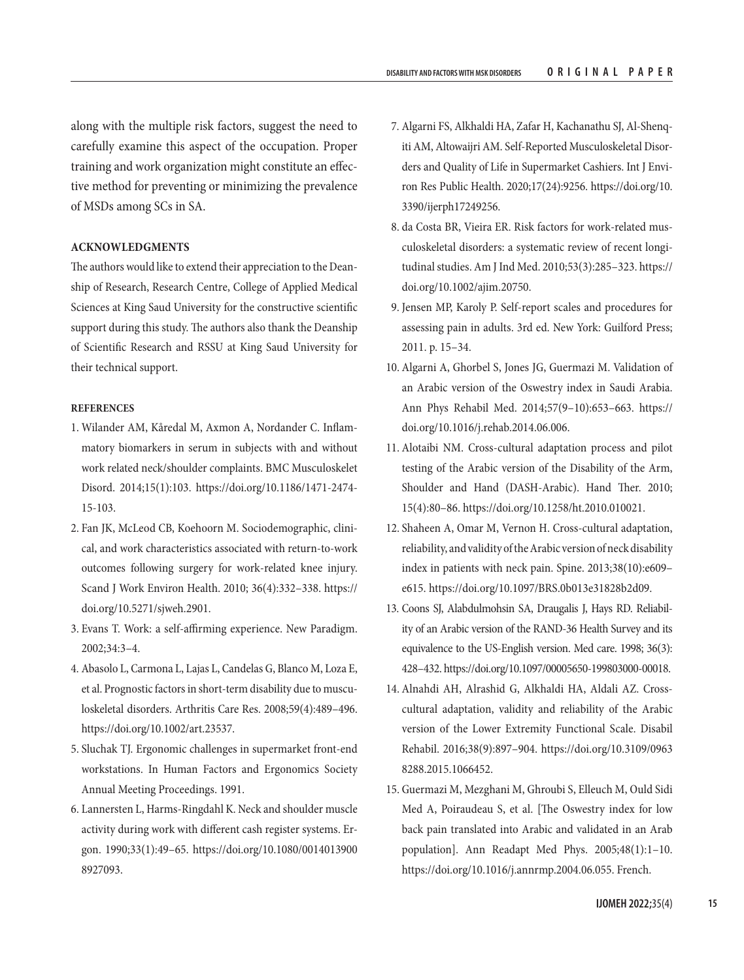along with the multiple risk factors, suggest the need to carefully examine this aspect of the occupation. Proper training and work organization might constitute an effective method for preventing or minimizing the prevalence of MSDs among SCs in SA.

## **ACKNOWLEDGMENTS**

The authors would like to extend their appreciation to the Deanship of Research, Research Centre, College of Applied Medical Sciences at King Saud University for the constructive scientific support during this study. The authors also thank the Deanship of Scientific Research and RSSU at King Saud University for their technical support.

#### **REFERENCES**

- 1. Wilander AM, Kåredal M, Axmon A, Nordander C. Inflammatory biomarkers in serum in subjects with and without work related neck/shoulder complaints. BMC Musculoskelet Disord. 2014;15(1):103. [https://doi.org/10.1186/1471-2474-](https://doi.org/10.1186/1471-2474-15-103) [15-103.](https://doi.org/10.1186/1471-2474-15-103)
- 2. Fan JK, McLeod CB, Koehoorn M. Sociodemographic, clinical, and work characteristics associated with return-to-work outcomes following surgery for work-related knee injury. Scand J Work Environ Health. 2010; 36(4):332–338. [https://](https://doi.org/10.5271/sjweh.2901) [doi.org/10.5271/sjweh.2901.](https://doi.org/10.5271/sjweh.2901)
- 3. Evans T. Work: a self-affirming experience. New Paradigm. 2002;34:3–4.
- 4. Abasolo L, Carmona L, Lajas L, Candelas G, Blanco M, Loza E, et al. Prognostic factors in short‐term disability due to musculoskeletal disorders. Arthritis Care Res. 2008;59(4):489–496. [https://doi.org/10.1002/art.23537.](https://doi.org/10.1002/art.23537)
- 5. Sluchak TJ. Ergonomic challenges in supermarket front-end workstations. In Human Factors and Ergonomics Society Annual Meeting Proceedings. 1991.
- 6. Lannersten L, Harms-Ringdahl K. Neck and shoulder muscle activity during work with different cash register systems. Ergon. 1990;33(1):49–65. [https://doi.org/10.1080/0014013900](https://doi.org/10.1080/00140139008927093) [8927093](https://doi.org/10.1080/00140139008927093).
- 7. Algarni FS, Alkhaldi HA, Zafar H, Kachanathu SJ, Al-Shenqiti AM, Altowaijri AM. Self-Reported Musculoskeletal Disorders and Quality of Life in Supermarket Cashiers. Int J Environ Res Public Health. 2020;17(24):9256. [https://doi.org/10.](https://doi.org/10.3390/ijerph17249256) [3390/ijerph17249256.](https://doi.org/10.3390/ijerph17249256)
- 8. da Costa BR, Vieira ER. Risk factors for work‐related musculoskeletal disorders: a systematic review of recent longitudinal studies. Am J Ind Med. 2010;53(3):285–323. [https://](https://doi.org/10.1002/ajim.20750) [doi.org/10.1002/ajim.20750](https://doi.org/10.1002/ajim.20750).
- 9. Jensen MP, Karoly P. Self-report scales and procedures for assessing pain in adults. 3rd ed. New York: Guilford Press; 2011. p. 15–34.
- 10. Algarni A, Ghorbel S, Jones JG, Guermazi M. Validation of an Arabic version of the Oswestry index in Saudi Arabia. Ann Phys Rehabil Med. 2014;57(9–10):653–663. [https://](https://doi.org/10.1016/j.rehab.2014.06.006) [doi.org/10.1016/j.rehab.2014.06.006](https://doi.org/10.1016/j.rehab.2014.06.006).
- 11. Alotaibi NM. Cross-cultural adaptation process and pilot testing of the Arabic version of the Disability of the Arm, Shoulder and Hand (DASH-Arabic). Hand Ther. 2010; 15(4):80–86. [https://doi.org/10.1258/ht.2010.010021.](https://doi.org/10.1258/ht.2010.010021)
- 12. Shaheen A, Omar M, Vernon H. Cross-cultural adaptation, reliability, and validity of the Arabic version of neck disability index in patients with neck pain. Spine. 2013;38(10):e609– e615.<https://doi.org/10.1097/BRS.0b013e31828b2d09>.
- 13. Coons SJ, Alabdulmohsin SA, Draugalis J, Hays RD. Reliability of an Arabic version of the RAND-36 Health Survey and its equivalence to the US-English version. Med care. 1998; 36(3): 428–432.<https://doi.org/10.1097/00005650-199803000-00018>.
- 14. Alnahdi AH, Alrashid G, Alkhaldi HA, Aldali AZ. Crosscultural adaptation, validity and reliability of the Arabic version of the Lower Extremity Functional Scale. Disabil Rehabil. 2016;38(9):897–904. [https://doi.org/10.3109/0963](https://doi.org/10.3109/09638288.2015.1066452) [8288.2015.1066452.](https://doi.org/10.3109/09638288.2015.1066452)
- 15. Guermazi M, Mezghani M, Ghroubi S, Elleuch M, Ould Sidi Med A, Poiraudeau S, et al. [The Oswestry index for low back pain translated into Arabic and validated in an Arab population]. Ann Readapt Med Phys. 2005;48(1):1–10. [https://doi.org/10.1016/j.annrmp.2004.06.055.](https://doi.org/10.1016/j.annrmp.2004.06.055) French.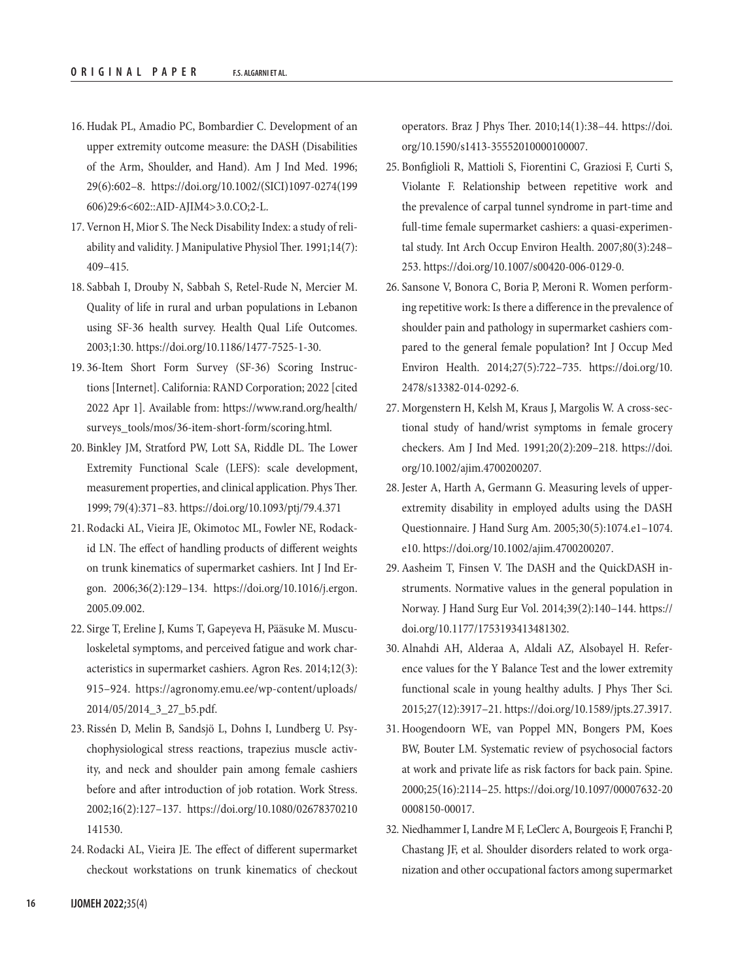- 16. Hudak PL, Amadio PC, Bombardier C. Development of an upper extremity outcome measure: the DASH (Disabilities of the Arm, Shoulder, and Hand). Am J Ind Med. 1996; 29(6):602–8. [https://doi.org/10.1002/\(SICI\)1097-0274\(199](https://doi.org/10.1002/(SICI)1097-0274(199606)29:6<602::AID-AJIM4>3.0.CO;2-L) [606\)29:6<602::AID-AJIM4>3.0.CO;2-L.](https://doi.org/10.1002/(SICI)1097-0274(199606)29:6<602::AID-AJIM4>3.0.CO;2-L)
- 17. Vernon H, Mior S. The Neck Disability Index: a study of reliability and validity. J Manipulative Physiol Ther. 1991;14(7): 409–415.
- 18. Sabbah I, Drouby N, Sabbah S, Retel-Rude N, Mercier M. Quality of life in rural and urban populations in Lebanon using SF-36 health survey. Health Qual Life Outcomes. 2003;1:30.<https://doi.org/10.1186/1477-7525-1-30>.
- 19. 36-Item Short Form Survey (SF-36) Scoring Instructions [Internet]. California: RAND Corporation; 2022 [cited 2022 Apr 1]. Available from: [https://www.rand.org/health/](https://www.rand.org/health/surveys_tools/mos/36-item-short-form/scoring.html) [surveys\\_tools/mos/36-item-short-form/scoring.html.](https://www.rand.org/health/surveys_tools/mos/36-item-short-form/scoring.html)
- 20. Binkley JM, Stratford PW, Lott SA, Riddle DL. The Lower Extremity Functional Scale (LEFS): scale development, measurement properties, and clinical application. Phys Ther. 1999; 79(4):371–83. https://doi.org/10.1093/ptj/79.4.371
- 21. Rodacki AL, Vieira JE, Okimotoc ML, Fowler NE, Rodackid LN. The effect of handling products of different weights on trunk kinematics of supermarket cashiers. Int J Ind Ergon. 2006;36(2):129–134. [https://doi.org/10.1016/j.ergon.](https://doi.org/10.1016/j.ergon.2005.09.002) [2005.09.002.](https://doi.org/10.1016/j.ergon.2005.09.002)
- 22. Sirge T, Ereline J, Kums T, Gapeyeva H, Pääsuke M. Musculoskeletal symptoms, and perceived fatigue and work characteristics in supermarket cashiers. Agron Res. 2014;12(3): 915–924. [https://agronomy.emu.ee/wp-content/uploads/](https://agronomy.emu.ee/wp-content/uploads/2014/05/2014_3_27_b5.pdf) [2014/05/2014\\_3\\_27\\_b5.pdf.](https://agronomy.emu.ee/wp-content/uploads/2014/05/2014_3_27_b5.pdf)
- 23. Rissén D, Melin B, Sandsjö L, Dohns I, Lundberg U. Psychophysiological stress reactions, trapezius muscle activity, and neck and shoulder pain among female cashiers before and after introduction of job rotation. Work Stress. 2002;16(2):127–137. [https://doi.org/10.1080/02678370210](https://doi.org/10.1080/02678370210141530) [141530](https://doi.org/10.1080/02678370210141530).
- 24. Rodacki AL, Vieira JE. The effect of different supermarket checkout workstations on trunk kinematics of checkout

operators. Braz J Phys Ther. 2010;14(1):38–44. [https://doi.](https://doi.org/10.1590/s1413-35552010000100007) [org/10.1590/s1413-35552010000100007.](https://doi.org/10.1590/s1413-35552010000100007)

- 25. Bonfiglioli R, Mattioli S, Fiorentini C, Graziosi F, Curti S, Violante F. Relationship between repetitive work and the prevalence of carpal tunnel syndrome in part-time and full-time female supermarket cashiers: a quasi-experimental study. Int Arch Occup Environ Health. 2007;80(3):248– 253. [https://doi.org/10.1007/s00420-006-0129-0.](https://doi.org/10.1007/s00420-006-0129-0)
- 26. Sansone V, Bonora C, Boria P, Meroni R. Women performing repetitive work: Is there a difference in the prevalence of shoulder pain and pathology in supermarket cashiers compared to the general female population? Int J Occup Med Environ Health. 2014;27(5):722–735. [https://doi.org/10.](https://doi.org/10.2478/s13382-014-0292-6) [2478/s13382-014-0292-6](https://doi.org/10.2478/s13382-014-0292-6).
- 27. Morgenstern H, Kelsh M, Kraus J, Margolis W. A cross‐sectional study of hand/wrist symptoms in female grocery checkers. Am J Ind Med. 1991;20(2):209–218. [https://doi.](https://doi.org/10.1002/ajim.4700200207) [org/10.1002/ajim.4700200207.](https://doi.org/10.1002/ajim.4700200207)
- 28. Jester A, Harth A, Germann G. Measuring levels of upperextremity disability in employed adults using the DASH Questionnaire. J Hand Surg Am. 2005;30(5):1074.e1–1074. e10. <https://doi.org/10.1002/ajim.4700200207>.
- 29. Aasheim T, Finsen V. The DASH and the QuickDASH instruments. Normative values in the general population in Norway. J Hand Surg Eur Vol. 2014;39(2):140–144. [https://](https://doi.org/10.1177/1753193413481302) [doi.org/10.1177/1753193413481302.](https://doi.org/10.1177/1753193413481302)
- 30. Alnahdi AH, Alderaa A, Aldali AZ, Alsobayel H. Reference values for the Y Balance Test and the lower extremity functional scale in young healthy adults. J Phys Ther Sci. 2015;27(12):3917–21. [https://doi.org/10.1589/jpts.27.3917.](https://doi.org/10.1589/jpts.27.3917)
- 31. Hoogendoorn WE, van Poppel MN, Bongers PM, Koes BW, Bouter LM. Systematic review of psychosocial factors at work and private life as risk factors for back pain. Spine. 2000;25(16):2114–25. [https://doi.org/10.1097/00007632-20](https://doi.org/10.1097/00007632-200008150-00017) [0008150-00017.](https://doi.org/10.1097/00007632-200008150-00017)
- 32. Niedhammer I, Landre M F, LeClerc A, Bourgeois F, Franchi P, Chastang JF, et al. Shoulder disorders related to work organization and other occupational factors among supermarket